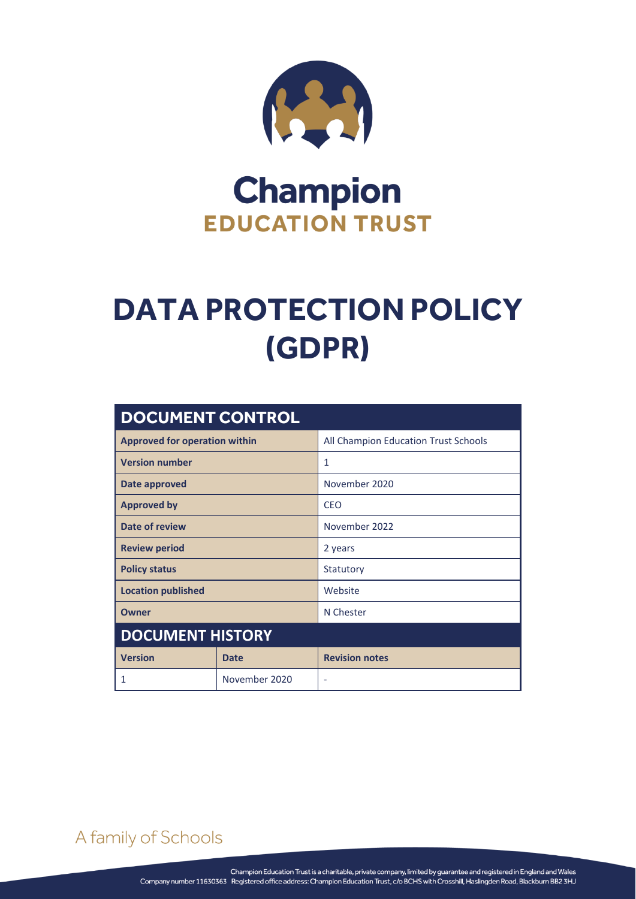

# **Champion EDUCATION TRUST**

# **DATA PROTECTION POLICY (GDPR)**

| <b>DOCUMENT CONTROL</b>              |               |                                      |  |
|--------------------------------------|---------------|--------------------------------------|--|
| <b>Approved for operation within</b> |               | All Champion Education Trust Schools |  |
| <b>Version number</b>                |               | 1                                    |  |
| Date approved                        |               | November 2020                        |  |
| <b>Approved by</b>                   |               | <b>CFO</b>                           |  |
| Date of review                       |               | November 2022                        |  |
| <b>Review period</b>                 |               | 2 years                              |  |
| <b>Policy status</b>                 |               | Statutory                            |  |
| <b>Location published</b>            |               | Website                              |  |
| <b>Owner</b>                         |               | N Chester                            |  |
| <b>DOCUMENT HISTORY</b>              |               |                                      |  |
| <b>Version</b>                       | <b>Date</b>   | <b>Revision notes</b>                |  |
| 1                                    | November 2020 | ۰                                    |  |

# A family of Schools

DATA PROTECTION POLICY (GDPR) Page **0** of **11**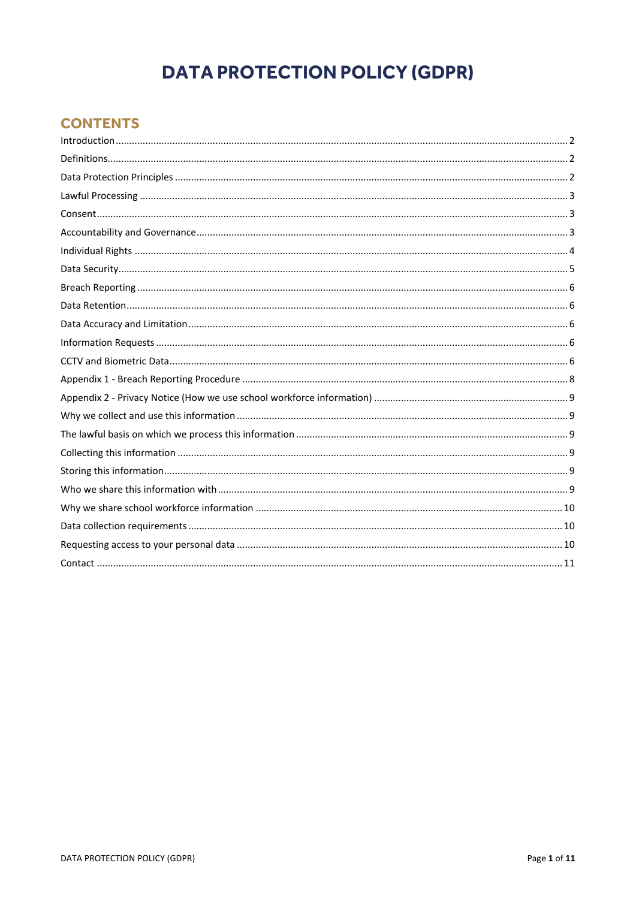# **DATA PROTECTION POLICY (GDPR)**

# **CONTENTS**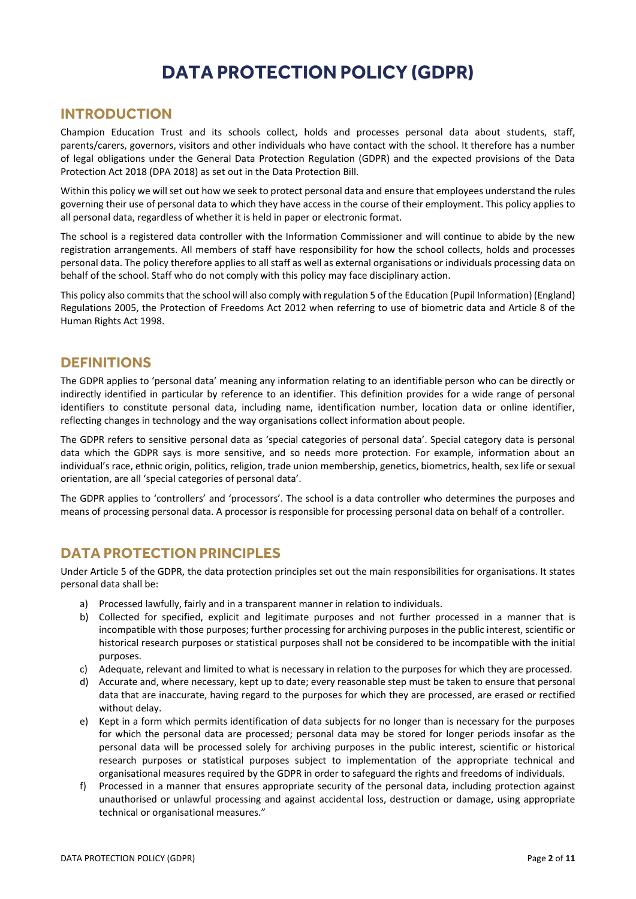# **DATA PROTECTION POLICY (GDPR)**

## <span id="page-2-0"></span>**INTRODUCTION**

Champion Education Trust and its schools collect, holds and processes personal data about students, staff, parents/carers, governors, visitors and other individuals who have contact with the school. It therefore has a number of legal obligations under the General Data Protection Regulation (GDPR) and the expected provisions of the Data Protection Act 2018 (DPA 2018) as set out in the Data Protection Bill.

Within this policy we will set out how we seek to protect personal data and ensure that employees understand the rules governing their use of personal data to which they have access in the course of their employment. This policy applies to all personal data, regardless of whether it is held in paper or electronic format.

The school is a registered data controller with the Information Commissioner and will continue to abide by the new registration arrangements. All members of staff have responsibility for how the school collects, holds and processes personal data. The policy therefore applies to all staff as well as external organisations or individuals processing data on behalf of the school. Staff who do not comply with this policy may face disciplinary action.

This policy also commits that the school will also comply with regulation 5 of the Education (Pupil Information) (England) Regulations 2005, the Protection of Freedoms Act 2012 when referring to use of biometric data and Article 8 of the Human Rights Act 1998.

# <span id="page-2-1"></span>**DEFINITIONS**

The GDPR applies to 'personal data' meaning any information relating to an identifiable person who can be directly or indirectly identified in particular by reference to an identifier. This definition provides for a wide range of personal identifiers to constitute personal data, including name, identification number, location data or online identifier, reflecting changes in technology and the way organisations collect information about people.

The GDPR refers to sensitive personal data as 'special categories of personal data'. Special category data is personal data which the GDPR says is more sensitive, and so needs more protection. For example, information about an individual's race, ethnic origin, politics, religion, trade union membership, genetics, biometrics, health, sex life or sexual orientation, are all 'special categories of personal data'.

The GDPR applies to 'controllers' and 'processors'. The school is a data controller who determines the purposes and means of processing personal data. A processor is responsible for processing personal data on behalf of a controller.

# <span id="page-2-2"></span>**DATA PROTECTION PRINCIPLES**

Under Article 5 of the GDPR, the data protection principles set out the main responsibilities for organisations. It states personal data shall be:

- a) Processed lawfully, fairly and in a transparent manner in relation to individuals.
- b) Collected for specified, explicit and legitimate purposes and not further processed in a manner that is incompatible with those purposes; further processing for archiving purposes in the public interest, scientific or historical research purposes or statistical purposes shall not be considered to be incompatible with the initial purposes.
- c) Adequate, relevant and limited to what is necessary in relation to the purposes for which they are processed.
- d) Accurate and, where necessary, kept up to date; every reasonable step must be taken to ensure that personal data that are inaccurate, having regard to the purposes for which they are processed, are erased or rectified without delay.
- e) Kept in a form which permits identification of data subjects for no longer than is necessary for the purposes for which the personal data are processed; personal data may be stored for longer periods insofar as the personal data will be processed solely for archiving purposes in the public interest, scientific or historical research purposes or statistical purposes subject to implementation of the appropriate technical and organisational measures required by the GDPR in order to safeguard the rights and freedoms of individuals.
- f) Processed in a manner that ensures appropriate security of the personal data, including protection against unauthorised or unlawful processing and against accidental loss, destruction or damage, using appropriate technical or organisational measures."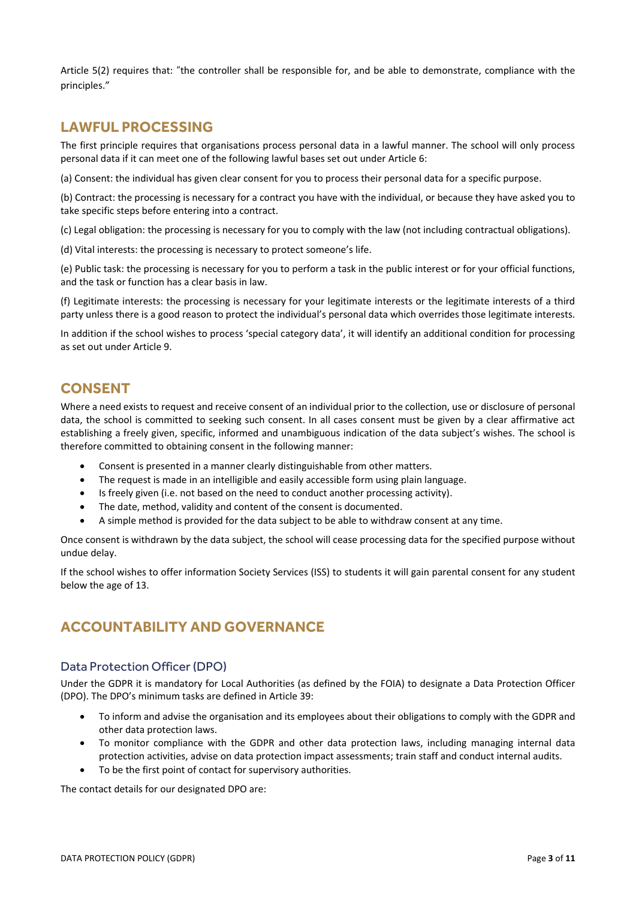Article 5(2) requires that: "the controller shall be responsible for, and be able to demonstrate, compliance with the principles."

# <span id="page-3-0"></span>**LAWFUL PROCESSING**

The first principle requires that organisations process personal data in a lawful manner. The school will only process personal data if it can meet one of the following lawful bases set out under Article 6:

(a) Consent: the individual has given clear consent for you to process their personal data for a specific purpose.

(b) Contract: the processing is necessary for a contract you have with the individual, or because they have asked you to take specific steps before entering into a contract.

(c) Legal obligation: the processing is necessary for you to comply with the law (not including contractual obligations).

(d) Vital interests: the processing is necessary to protect someone's life.

(e) Public task: the processing is necessary for you to perform a task in the public interest or for your official functions, and the task or function has a clear basis in law.

(f) Legitimate interests: the processing is necessary for your legitimate interests or the legitimate interests of a third party unless there is a good reason to protect the individual's personal data which overrides those legitimate interests.

In addition if the school wishes to process 'special category data', it will identify an additional condition for processing as set out under Article 9.

# <span id="page-3-1"></span>**CONSENT**

Where a need exists to request and receive consent of an individual prior to the collection, use or disclosure of personal data, the school is committed to seeking such consent. In all cases consent must be given by a clear affirmative act establishing a freely given, specific, informed and unambiguous indication of the data subject's wishes. The school is therefore committed to obtaining consent in the following manner:

- Consent is presented in a manner clearly distinguishable from other matters.
- The request is made in an intelligible and easily accessible form using plain language.
- Is freely given (i.e. not based on the need to conduct another processing activity).
- The date, method, validity and content of the consent is documented.
- A simple method is provided for the data subject to be able to withdraw consent at any time.

Once consent is withdrawn by the data subject, the school will cease processing data for the specified purpose without undue delay.

If the school wishes to offer information Society Services (ISS) to students it will gain parental consent for any student below the age of 13.

# <span id="page-3-2"></span>**ACCOUNTABILITY AND GOVERNANCE**

#### Data Protection Officer (DPO)

Under the GDPR it is mandatory for Local Authorities (as defined by the FOIA) to designate a Data Protection Officer (DPO). The DPO's minimum tasks are defined in Article 39:

- To inform and advise the organisation and its employees about their obligations to comply with the GDPR and other data protection laws.
- To monitor compliance with the GDPR and other data protection laws, including managing internal data protection activities, advise on data protection impact assessments; train staff and conduct internal audits.
- To be the first point of contact for supervisory authorities.

The contact details for our designated DPO are: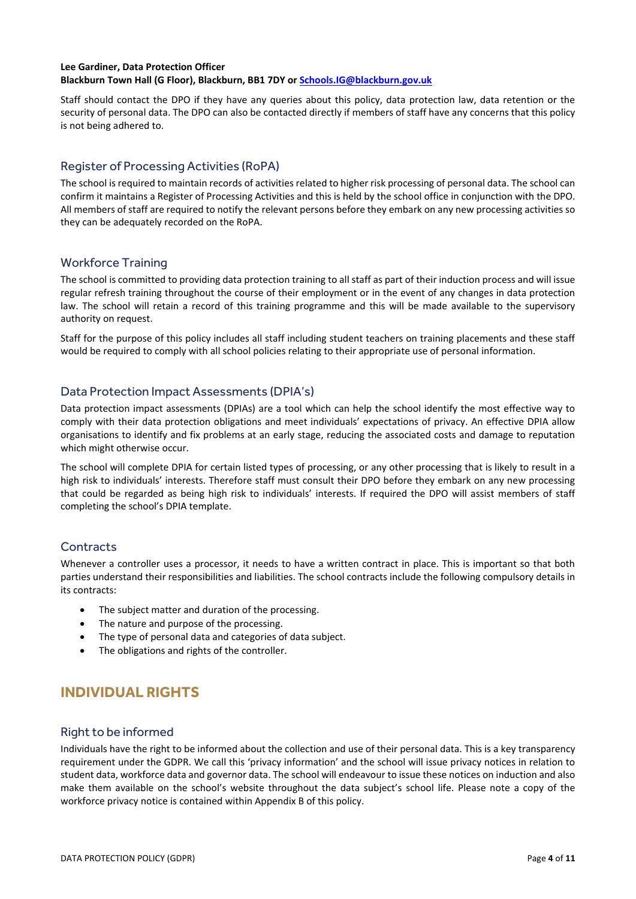#### **Lee Gardiner, Data Protection Officer**

**Blackburn Town Hall (G Floor), Blackburn, BB1 7DY o[r Schools.IG@blackburn.gov.uk](mailto:Schools.IG@blackburn.gov.uk)**

Staff should contact the DPO if they have any queries about this policy, data protection law, data retention or the security of personal data. The DPO can also be contacted directly if members of staff have any concerns that this policy is not being adhered to.

#### Register of Processing Activities (RoPA)

The school is required to maintain records of activities related to higher risk processing of personal data. The school can confirm it maintains a Register of Processing Activities and this is held by the school office in conjunction with the DPO. All members of staff are required to notify the relevant persons before they embark on any new processing activities so they can be adequately recorded on the RoPA.

#### Workforce Training

The school is committed to providing data protection training to all staff as part of their induction process and will issue regular refresh training throughout the course of their employment or in the event of any changes in data protection law. The school will retain a record of this training programme and this will be made available to the supervisory authority on request.

Staff for the purpose of this policy includes all staff including student teachers on training placements and these staff would be required to comply with all school policies relating to their appropriate use of personal information.

#### Data Protection Impact Assessments (DPIA's)

Data protection impact assessments (DPIAs) are a tool which can help the school identify the most effective way to comply with their data protection obligations and meet individuals' expectations of privacy. An effective DPIA allow organisations to identify and fix problems at an early stage, reducing the associated costs and damage to reputation which might otherwise occur.

The school will complete DPIA for certain listed types of processing, or any other processing that is likely to result in a high risk to individuals' interests. Therefore staff must consult their DPO before they embark on any new processing that could be regarded as being high risk to individuals' interests. If required the DPO will assist members of staff completing the school's DPIA template.

#### **Contracts**

Whenever a controller uses a processor, it needs to have a written contract in place. This is important so that both parties understand their responsibilities and liabilities. The school contracts include the following compulsory details in its contracts:

- The subject matter and duration of the processing.
- The nature and purpose of the processing.
- The type of personal data and categories of data subject.
- The obligations and rights of the controller.

# <span id="page-4-0"></span>**INDIVIDUAL RIGHTS**

#### Right to be informed

Individuals have the right to be informed about the collection and use of their personal data. This is a key transparency requirement under the GDPR. We call this 'privacy information' and the school will issue privacy notices in relation to student data, workforce data and governor data. The school will endeavour to issue these notices on induction and also make them available on the school's website throughout the data subject's school life. Please note a copy of the workforce privacy notice is contained within Appendix B of this policy.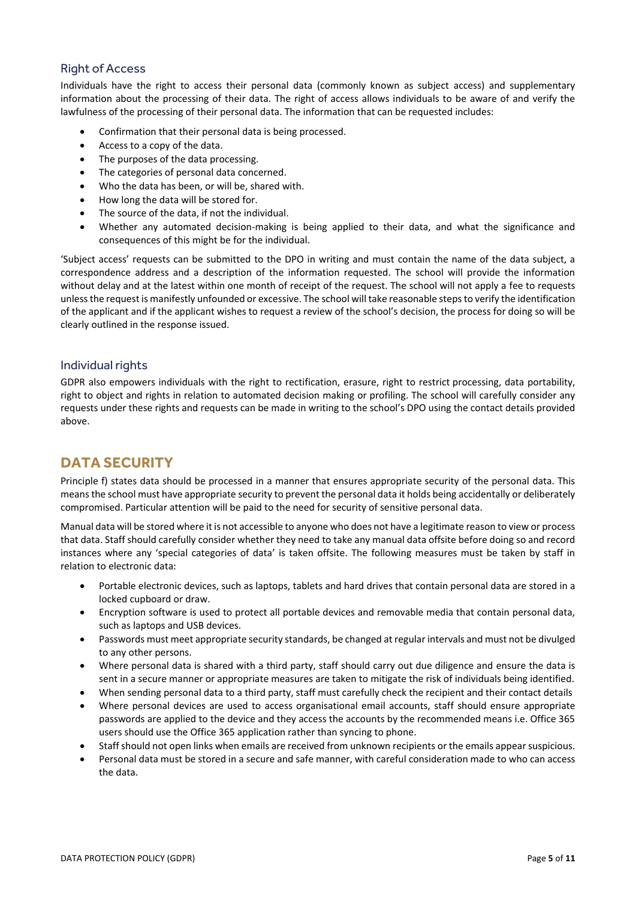#### Right of Access

Individuals have the right to access their personal data (commonly known as subject access) and supplementary information about the processing of their data. The right of access allows individuals to be aware of and verify the lawfulness of the processing of their personal data. The information that can be requested includes:

- Confirmation that their personal data is being processed.
- Access to a copy of the data.
- The purposes of the data processing.
- The categories of personal data concerned.
- Who the data has been, or will be, shared with.
- How long the data will be stored for.
- The source of the data, if not the individual.
- Whether any automated decision-making is being applied to their data, and what the significance and consequences of this might be for the individual.

'Subject access' requests can be submitted to the DPO in writing and must contain the name of the data subject, a correspondence address and a description of the information requested. The school will provide the information without delay and at the latest within one month of receipt of the request. The school will not apply a fee to requests unless the request is manifestly unfounded or excessive. The school will take reasonable steps to verify the identification of the applicant and if the applicant wishes to request a review of the school's decision, the process for doing so will be clearly outlined in the response issued.

#### Individual rights

GDPR also empowers individuals with the right to rectification, erasure, right to restrict processing, data portability, right to object and rights in relation to automated decision making or profiling. The school will carefully consider any requests under these rights and requests can be made in writing to the school's DPO using the contact details provided above.

# <span id="page-5-0"></span>**DATA SECURITY**

Principle f) states data should be processed in a manner that ensures appropriate security of the personal data. This means the school must have appropriate security to prevent the personal data it holds being accidentally or deliberately compromised. Particular attention will be paid to the need for security of sensitive personal data.

Manual data will be stored where it is not accessible to anyone who does not have a legitimate reason to view or process that data. Staff should carefully consider whether they need to take any manual data offsite before doing so and record instances where any 'special categories of data' is taken offsite. The following measures must be taken by staff in relation to electronic data:

- Portable electronic devices, such as laptops, tablets and hard drives that contain personal data are stored in a locked cupboard or draw.
- Encryption software is used to protect all portable devices and removable media that contain personal data, such as laptops and USB devices.
- Passwords must meet appropriate security standards, be changed at regular intervals and must not be divulged to any other persons.
- Where personal data is shared with a third party, staff should carry out due diligence and ensure the data is sent in a secure manner or appropriate measures are taken to mitigate the risk of individuals being identified.
- When sending personal data to a third party, staff must carefully check the recipient and their contact details
- Where personal devices are used to access organisational email accounts, staff should ensure appropriate passwords are applied to the device and they access the accounts by the recommended means i.e. Office 365 users should use the Office 365 application rather than syncing to phone.
- Staff should not open links when emails are received from unknown recipients or the emails appear suspicious.
- Personal data must be stored in a secure and safe manner, with careful consideration made to who can access the data.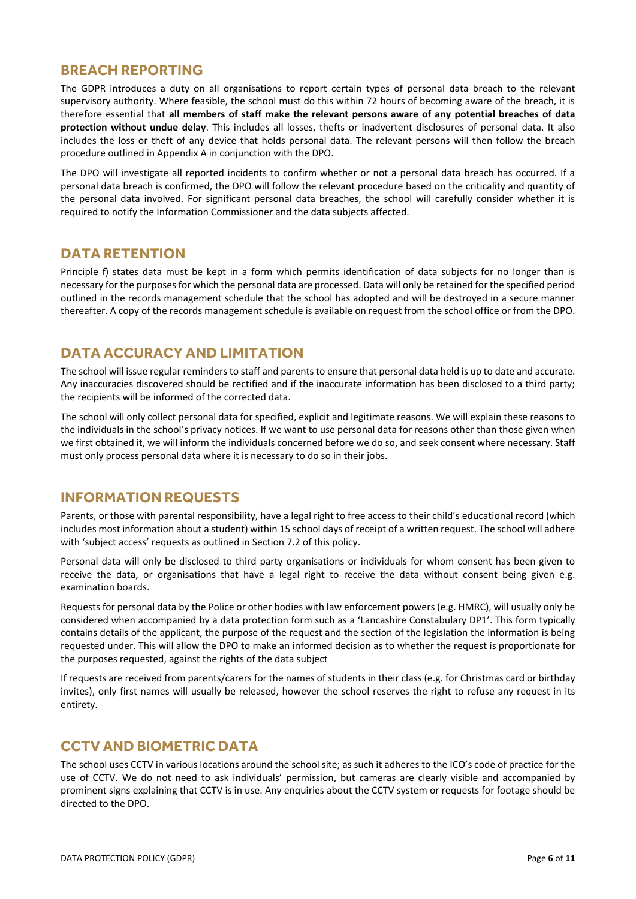# <span id="page-6-0"></span>**BREACH REPORTING**

The GDPR introduces a duty on all organisations to report certain types of personal data breach to the relevant supervisory authority. Where feasible, the school must do this within 72 hours of becoming aware of the breach, it is therefore essential that **all members of staff make the relevant persons aware of any potential breaches of data protection without undue delay**. This includes all losses, thefts or inadvertent disclosures of personal data. It also includes the loss or theft of any device that holds personal data. The relevant persons will then follow the breach procedure outlined in Appendix A in conjunction with the DPO.

The DPO will investigate all reported incidents to confirm whether or not a personal data breach has occurred. If a personal data breach is confirmed, the DPO will follow the relevant procedure based on the criticality and quantity of the personal data involved. For significant personal data breaches, the school will carefully consider whether it is required to notify the Information Commissioner and the data subjects affected.

## <span id="page-6-1"></span>**DATA RETENTION**

Principle f) states data must be kept in a form which permits identification of data subjects for no longer than is necessary for the purposes for which the personal data are processed. Data will only be retained for the specified period outlined in the records management schedule that the school has adopted and will be destroyed in a secure manner thereafter. A copy of the records management schedule is available on request from the school office or from the DPO.

# <span id="page-6-2"></span>**DATA ACCURACY AND LIMITATION**

The school will issue regular reminders to staff and parents to ensure that personal data held is up to date and accurate. Any inaccuracies discovered should be rectified and if the inaccurate information has been disclosed to a third party; the recipients will be informed of the corrected data.

The school will only collect personal data for specified, explicit and legitimate reasons. We will explain these reasons to the individuals in the school's privacy notices. If we want to use personal data for reasons other than those given when we first obtained it, we will inform the individuals concerned before we do so, and seek consent where necessary. Staff must only process personal data where it is necessary to do so in their jobs.

## <span id="page-6-3"></span>**INFORMATION REQUESTS**

Parents, or those with parental responsibility, have a legal right to free access to their child's educational record (which includes most information about a student) within 15 school days of receipt of a written request. The school will adhere with 'subject access' requests as outlined in Section 7.2 of this policy.

Personal data will only be disclosed to third party organisations or individuals for whom consent has been given to receive the data, or organisations that have a legal right to receive the data without consent being given e.g. examination boards.

Requests for personal data by the Police or other bodies with law enforcement powers (e.g. HMRC), will usually only be considered when accompanied by a data protection form such as a 'Lancashire Constabulary DP1'. This form typically contains details of the applicant, the purpose of the request and the section of the legislation the information is being requested under. This will allow the DPO to make an informed decision as to whether the request is proportionate for the purposes requested, against the rights of the data subject

If requests are received from parents/carers for the names of students in their class (e.g. for Christmas card or birthday invites), only first names will usually be released, however the school reserves the right to refuse any request in its entirety.

## <span id="page-6-4"></span>**CCTV AND BIOMETRIC DATA**

The school uses CCTV in various locations around the school site; as such it adheres to the ICO's code of practice for the use of CCTV. We do not need to ask individuals' permission, but cameras are clearly visible and accompanied by prominent signs explaining that CCTV is in use. Any enquiries about the CCTV system or requests for footage should be directed to the DPO.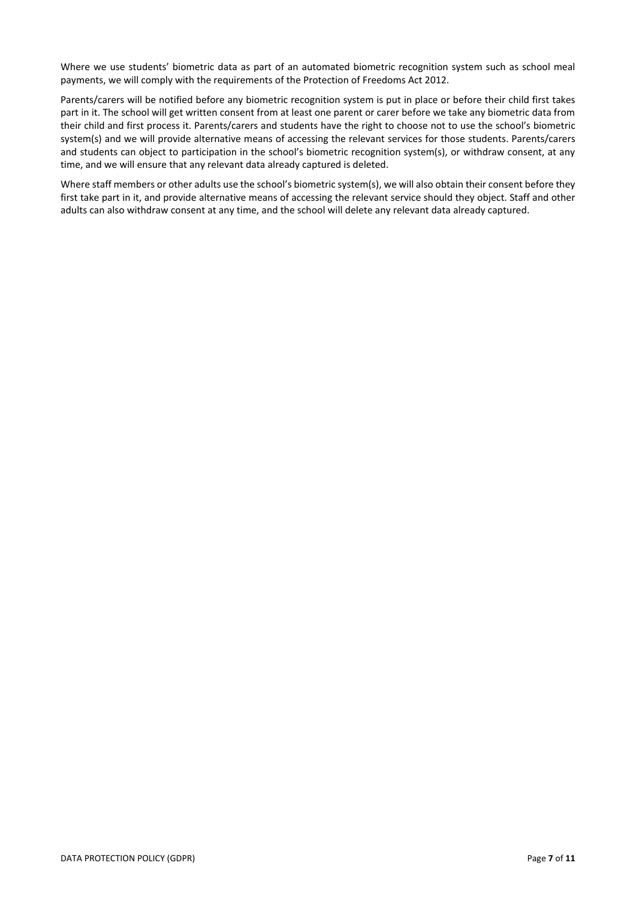Where we use students' biometric data as part of an automated biometric recognition system such as school meal payments, we will comply with the requirements of the Protection of Freedoms Act 2012.

Parents/carers will be notified before any biometric recognition system is put in place or before their child first takes part in it. The school will get written consent from at least one parent or carer before we take any biometric data from their child and first process it. Parents/carers and students have the right to choose not to use the school's biometric system(s) and we will provide alternative means of accessing the relevant services for those students. Parents/carers and students can object to participation in the school's biometric recognition system(s), or withdraw consent, at any time, and we will ensure that any relevant data already captured is deleted.

Where staff members or other adults use the school's biometric system(s), we will also obtain their consent before they first take part in it, and provide alternative means of accessing the relevant service should they object. Staff and other adults can also withdraw consent at any time, and the school will delete any relevant data already captured.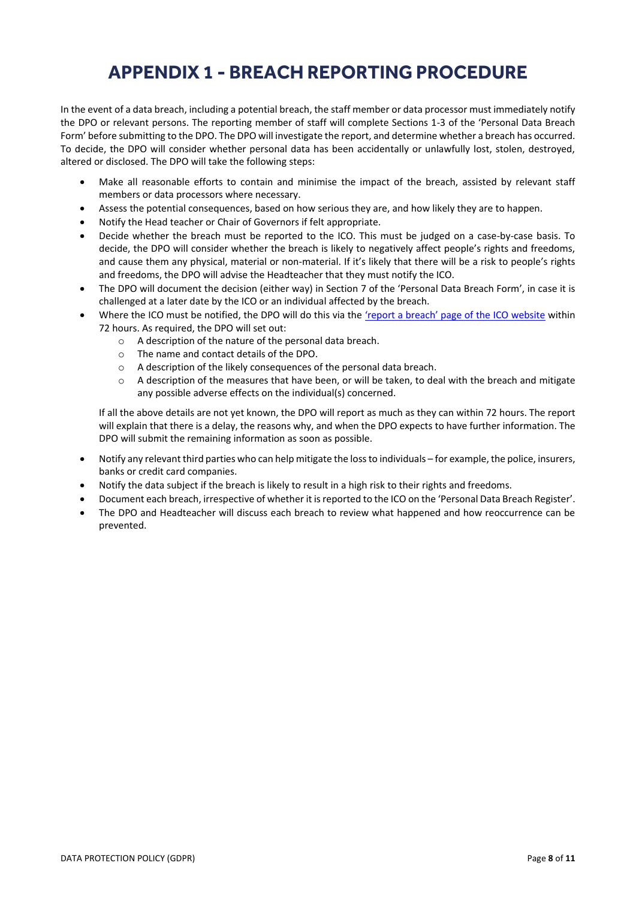# **APPENDIX 1 - BREACH REPORTING PROCEDURE**

<span id="page-8-0"></span>In the event of a data breach, including a potential breach, the staff member or data processor must immediately notify the DPO or relevant persons. The reporting member of staff will complete Sections 1-3 of the 'Personal Data Breach Form' before submitting to the DPO. The DPO will investigate the report, and determine whether a breach has occurred. To decide, the DPO will consider whether personal data has been accidentally or unlawfully lost, stolen, destroyed, altered or disclosed. The DPO will take the following steps:

- Make all reasonable efforts to contain and minimise the impact of the breach, assisted by relevant staff members or data processors where necessary.
- Assess the potential consequences, based on how serious they are, and how likely they are to happen.
- Notify the Head teacher or Chair of Governors if felt appropriate.
- Decide whether the breach must be reported to the ICO. This must be judged on a case-by-case basis. To decide, the DPO will consider whether the breach is likely to negatively affect people's rights and freedoms, and cause them any physical, material or non-material. If it's likely that there will be a risk to people's rights and freedoms, the DPO will advise the Headteacher that they must notify the ICO.
- The DPO will document the decision (either way) in Section 7 of the 'Personal Data Breach Form', in case it is challenged at a later date by the ICO or an individual affected by the breach.
- Where the ICO must be notified, the DPO will do this via the 'report [a breach' page of the ICO website](https://ico.org.uk/for-organisations/report-a-breach/) within 72 hours. As required, the DPO will set out:
	- o A description of the nature of the personal data breach.
	- o The name and contact details of the DPO.
	- o A description of the likely consequences of the personal data breach.
	- $\circ$  A description of the measures that have been, or will be taken, to deal with the breach and mitigate any possible adverse effects on the individual(s) concerned.

If all the above details are not yet known, the DPO will report as much as they can within 72 hours. The report will explain that there is a delay, the reasons why, and when the DPO expects to have further information. The DPO will submit the remaining information as soon as possible.

- Notify any relevant third parties who can help mitigate the lossto individuals for example, the police, insurers, banks or credit card companies.
- Notify the data subject if the breach is likely to result in a high risk to their rights and freedoms.
- Document each breach, irrespective of whether it is reported to the ICO on the 'Personal Data Breach Register'.
- The DPO and Headteacher will discuss each breach to review what happened and how reoccurrence can be prevented.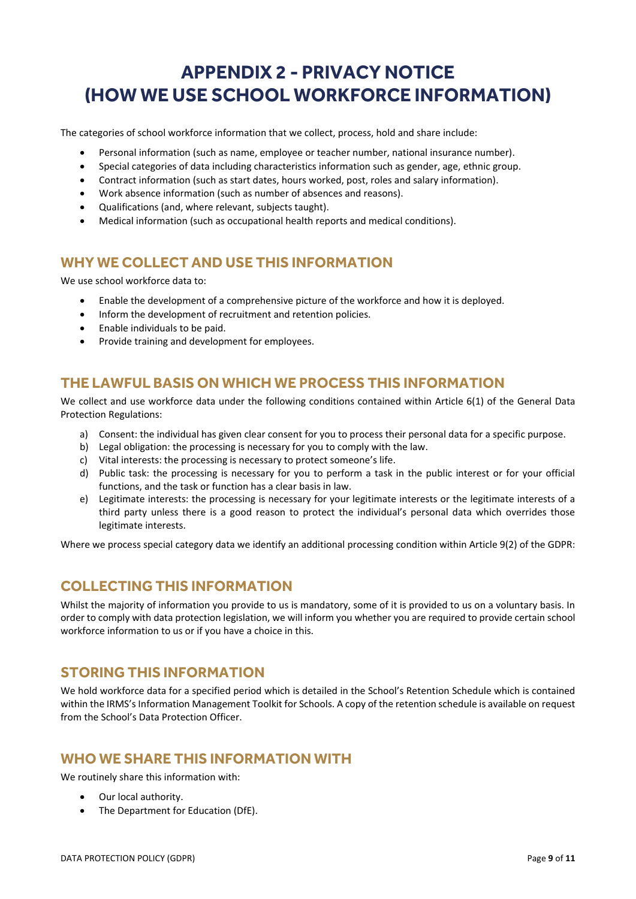# <span id="page-9-0"></span>**APPENDIX 2 - PRIVACY NOTICE (HOW WE USE SCHOOL WORKFORCE INFORMATION)**

The categories of school workforce information that we collect, process, hold and share include:

- Personal information (such as name, employee or teacher number, national insurance number).
- Special categories of data including characteristics information such as gender, age, ethnic group.
- Contract information (such as start dates, hours worked, post, roles and salary information).
- Work absence information (such as number of absences and reasons).
- Qualifications (and, where relevant, subjects taught).
- Medical information (such as occupational health reports and medical conditions).

# <span id="page-9-1"></span>**WHY WE COLLECT AND USE THIS INFORMATION**

We use school workforce data to:

- Enable the development of a comprehensive picture of the workforce and how it is deployed.
- Inform the development of recruitment and retention policies.
- Enable individuals to be paid.
- Provide training and development for employees.

# <span id="page-9-2"></span>**THE LAWFUL BASIS ON WHICH WE PROCESS THIS INFORMATION**

We collect and use workforce data under the following conditions contained within Article 6(1) of the General Data Protection Regulations:

- a) Consent: the individual has given clear consent for you to process their personal data for a specific purpose.
- b) Legal obligation: the processing is necessary for you to comply with the law.
- c) Vital interests: the processing is necessary to protect someone's life.
- d) Public task: the processing is necessary for you to perform a task in the public interest or for your official functions, and the task or function has a clear basis in law.
- e) Legitimate interests: the processing is necessary for your legitimate interests or the legitimate interests of a third party unless there is a good reason to protect the individual's personal data which overrides those legitimate interests.

Where we process special category data we identify an additional processing condition within Article 9(2) of the GDPR:

# <span id="page-9-3"></span>**COLLECTING THIS INFORMATION**

Whilst the majority of information you provide to us is mandatory, some of it is provided to us on a voluntary basis. In order to comply with data protection legislation, we will inform you whether you are required to provide certain school workforce information to us or if you have a choice in this.

## <span id="page-9-4"></span>**STORING THIS INFORMATION**

We hold workforce data for a specified period which is detailed in the School's Retention Schedule which is contained within the IRMS's Information Management Toolkit for Schools. A copy of the retention schedule is available on request from the School's Data Protection Officer.

## <span id="page-9-5"></span>**WHO WE SHARE THIS INFORMATION WITH**

We routinely share this information with:

- Our local authority.
- The Department for Education (DfE).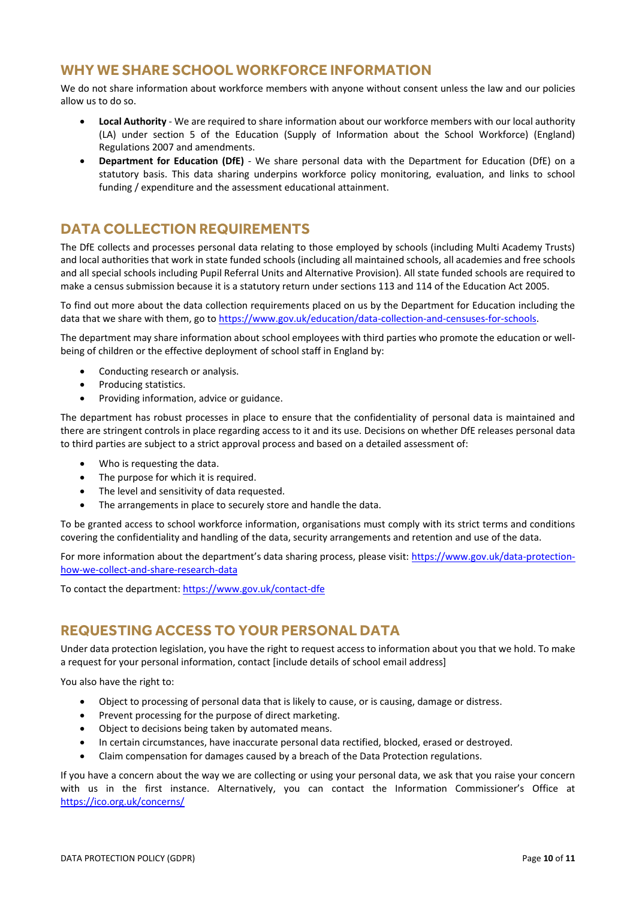# <span id="page-10-0"></span>**WHY WE SHARE SCHOOL WORKFORCE INFORMATION**

We do not share information about workforce members with anyone without consent unless the law and our policies allow us to do so.

- **Local Authority** We are required to share information about our workforce members with our local authority (LA) under section 5 of the Education (Supply of Information about the School Workforce) (England) Regulations 2007 and amendments.
- **Department for Education (DfE)** We share personal data with the Department for Education (DfE) on a statutory basis. This data sharing underpins workforce policy monitoring, evaluation, and links to school funding / expenditure and the assessment educational attainment.

# <span id="page-10-1"></span>**DATA COLLECTION REQUIREMENTS**

The DfE collects and processes personal data relating to those employed by schools (including Multi Academy Trusts) and local authorities that work in state funded schools (including all maintained schools, all academies and free schools and all special schools including Pupil Referral Units and Alternative Provision). All state funded schools are required to make a census submission because it is a statutory return under sections 113 and 114 of the Education Act 2005.

To find out more about the data collection requirements placed on us by the Department for Education including the data that we share with them, go to [https://www.gov.uk/education/data-collection-and-censuses-for-schools.](https://www.gov.uk/education/data-collection-and-censuses-for-schools)

The department may share information about school employees with third parties who promote the education or wellbeing of children or the effective deployment of school staff in England by:

- Conducting research or analysis.
- Producing statistics.
- Providing information, advice or guidance.

The department has robust processes in place to ensure that the confidentiality of personal data is maintained and there are stringent controls in place regarding access to it and its use. Decisions on whether DfE releases personal data to third parties are subject to a strict approval process and based on a detailed assessment of:

- Who is requesting the data.
- The purpose for which it is required.
- The level and sensitivity of data requested.
- The arrangements in place to securely store and handle the data.

To be granted access to school workforce information, organisations must comply with its strict terms and conditions covering the confidentiality and handling of the data, security arrangements and retention and use of the data.

For more information about the department's data sharing process, please visit: [https://www.gov.uk/data-protection](https://www.gov.uk/data-protection-how-we-collect-and-share-research-data)[how-we-collect-and-share-research-data](https://www.gov.uk/data-protection-how-we-collect-and-share-research-data)

To contact the department[: https://www.gov.uk/contact-dfe](https://www.gov.uk/contact-dfe)

# <span id="page-10-2"></span>**REQUESTING ACCESS TO YOUR PERSONAL DATA**

Under data protection legislation, you have the right to request access to information about you that we hold. To make a request for your personal information, contact [include details of school email address]

You also have the right to:

- Object to processing of personal data that is likely to cause, or is causing, damage or distress.
- Prevent processing for the purpose of direct marketing.
- Object to decisions being taken by automated means.
- In certain circumstances, have inaccurate personal data rectified, blocked, erased or destroyed.
- Claim compensation for damages caused by a breach of the Data Protection regulations.

If you have a concern about the way we are collecting or using your personal data, we ask that you raise your concern with us in the first instance. Alternatively, you can contact the Information Commissioner's Office at <https://ico.org.uk/concerns/>